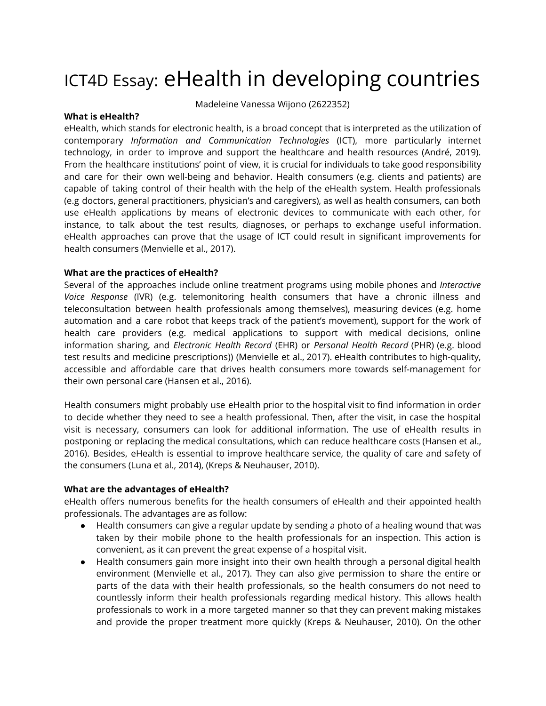# ICT4D Essay: eHealth in developing countries

Madeleine Vanessa Wijono (2622352)

#### **What is eHealth?**

eHealth, which stands for electronic health, is a broad concept that is interpreted as the utilization of contemporary *Information and Communication Technologies* (ICT), more particularly internet technology, in order to improve and support the healthcare and health resources (André, 2019). From the healthcare institutions' point of view, it is crucial for individuals to take good responsibility and care for their own well-being and behavior. Health consumers (e.g. clients and patients) are capable of taking control of their health with the help of the eHealth system. Health professionals (e.g doctors, general practitioners, physician's and caregivers), as well as health consumers, can both use eHealth applications by means of electronic devices to communicate with each other, for instance, to talk about the test results, diagnoses, or perhaps to exchange useful information. eHealth approaches can prove that the usage of ICT could result in significant improvements for health consumers (Menvielle et al., 2017).

## **What are the practices of eHealth?**

Several of the approaches include online treatment programs using mobile phones and *Interactive Voice Response* (IVR) (e.g. telemonitoring health consumers that have a chronic illness and teleconsultation between health professionals among themselves), measuring devices (e.g. home automation and a care robot that keeps track of the patient's movement), support for the work of health care providers (e.g. medical applications to support with medical decisions, online information sharing, and *Electronic Health Record* (EHR) or *Personal Health Record* (PHR) (e.g. blood test results and medicine prescriptions)) (Menvielle et al., 2017). eHealth contributes to high-quality, accessible and affordable care that drives health consumers more towards self-management for their own personal care (Hansen et al., 2016).

Health consumers might probably use eHealth prior to the hospital visit to find information in order to decide whether they need to see a health professional. Then, after the visit, in case the hospital visit is necessary, consumers can look for additional information. The use of eHealth results in postponing or replacing the medical consultations, which can reduce healthcare costs (Hansen et al., 2016). Besides, eHealth is essential to improve healthcare service, the quality of care and safety of the consumers (Luna et al., 2014), (Kreps & Neuhauser, 2010).

#### **What are the advantages of eHealth?**

eHealth offers numerous benefits for the health consumers of eHealth and their appointed health professionals. The advantages are as follow:

- Health consumers can give a regular update by sending a photo of a healing wound that was taken by their mobile phone to the health professionals for an inspection. This action is convenient, as it can prevent the great expense of a hospital visit.
- Health consumers gain more insight into their own health through a personal digital health environment (Menvielle et al., 2017). They can also give permission to share the entire or parts of the data with their health professionals, so the health consumers do not need to countlessly inform their health professionals regarding medical history. This allows health professionals to work in a more targeted manner so that they can prevent making mistakes and provide the proper treatment more quickly (Kreps & Neuhauser, 2010). On the other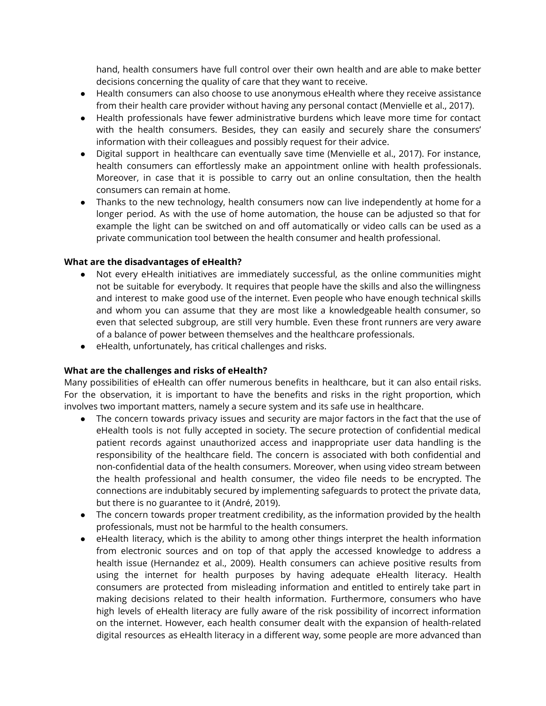hand, health consumers have full control over their own health and are able to make better decisions concerning the quality of care that they want to receive.

- Health consumers can also choose to use anonymous eHealth where they receive assistance from their health care provider without having any personal contact (Menvielle et al., 2017).
- Health professionals have fewer administrative burdens which leave more time for contact with the health consumers. Besides, they can easily and securely share the consumers' information with their colleagues and possibly request for their advice.
- Digital support in healthcare can eventually save time (Menvielle et al., 2017). For instance, health consumers can effortlessly make an appointment online with health professionals. Moreover, in case that it is possible to carry out an online consultation, then the health consumers can remain at home.
- Thanks to the new technology, health consumers now can live independently at home for a longer period. As with the use of home automation, the house can be adjusted so that for example the light can be switched on and off automatically or video calls can be used as a private communication tool between the health consumer and health professional.

# **What are the disadvantages of eHealth?**

- Not every eHealth initiatives are immediately successful, as the online communities might not be suitable for everybody. It requires that people have the skills and also the willingness and interest to make good use of the internet. Even people who have enough technical skills and whom you can assume that they are most like a knowledgeable health consumer, so even that selected subgroup, are still very humble. Even these front runners are very aware of a balance of power between themselves and the healthcare professionals.
- eHealth, unfortunately, has critical challenges and risks.

# **What are the challenges and risks of eHealth?**

Many possibilities of eHealth can offer numerous benefits in healthcare, but it can also entail risks. For the observation, it is important to have the benefits and risks in the right proportion, which involves two important matters, namely a secure system and its safe use in healthcare.

- The concern towards privacy issues and security are major factors in the fact that the use of eHealth tools is not fully accepted in society. The secure protection of confidential medical patient records against unauthorized access and inappropriate user data handling is the responsibility of the healthcare field. The concern is associated with both confidential and non-confidential data of the health consumers. Moreover, when using video stream between the health professional and health consumer, the video file needs to be encrypted. The connections are indubitably secured by implementing safeguards to protect the private data, but there is no guarantee to it (André, 2019).
- The concern towards proper treatment credibility, as the information provided by the health professionals, must not be harmful to the health consumers.
- eHealth literacy, which is the ability to among other things interpret the health information from electronic sources and on top of that apply the accessed knowledge to address a health issue (Hernandez et al., 2009). Health consumers can achieve positive results from using the internet for health purposes by having adequate eHealth literacy. Health consumers are protected from misleading information and entitled to entirely take part in making decisions related to their health information. Furthermore, consumers who have high levels of eHealth literacy are fully aware of the risk possibility of incorrect information on the internet. However, each health consumer dealt with the expansion of health-related digital resources as eHealth literacy in a different way, some people are more advanced than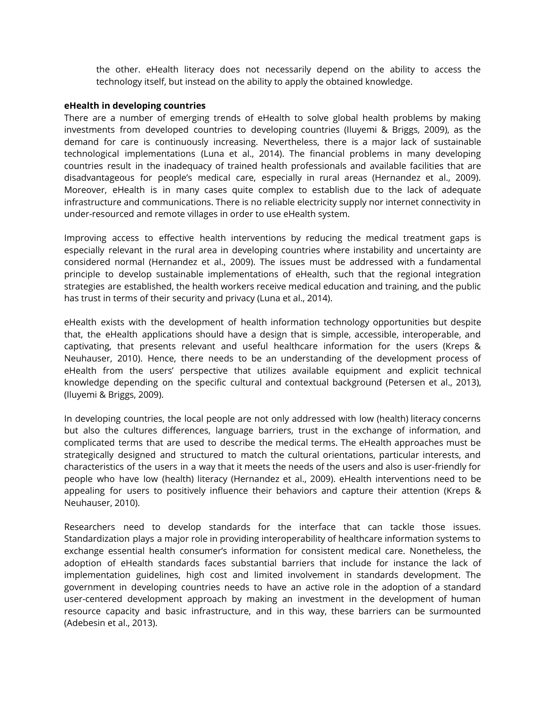the other. eHealth literacy does not necessarily depend on the ability to access the technology itself, but instead on the ability to apply the obtained knowledge.

## **eHealth in developing countries**

There are a number of emerging trends of eHealth to solve global health problems by making investments from developed countries to developing countries (Iluyemi & Briggs, 2009), as the demand for care is continuously increasing. Nevertheless, there is a major lack of sustainable technological implementations (Luna et al., 2014). The financial problems in many developing countries result in the inadequacy of trained health professionals and available facilities that are disadvantageous for people's medical care, especially in rural areas (Hernandez et al., 2009). Moreover, eHealth is in many cases quite complex to establish due to the lack of adequate infrastructure and communications. There is no reliable electricity supply nor internet connectivity in under-resourced and remote villages in order to use eHealth system.

Improving access to effective health interventions by reducing the medical treatment gaps is especially relevant in the rural area in developing countries where instability and uncertainty are considered normal (Hernandez et al., 2009). The issues must be addressed with a fundamental principle to develop sustainable implementations of eHealth, such that the regional integration strategies are established, the health workers receive medical education and training, and the public has trust in terms of their security and privacy (Luna et al., 2014).

eHealth exists with the development of health information technology opportunities but despite that, the eHealth applications should have a design that is simple, accessible, interoperable, and captivating, that presents relevant and useful healthcare information for the users (Kreps & Neuhauser, 2010). Hence, there needs to be an understanding of the development process of eHealth from the users' perspective that utilizes available equipment and explicit technical knowledge depending on the specific cultural and contextual background (Petersen et al., 2013), (Iluyemi & Briggs, 2009).

In developing countries, the local people are not only addressed with low (health) literacy concerns but also the cultures differences, language barriers, trust in the exchange of information, and complicated terms that are used to describe the medical terms. The eHealth approaches must be strategically designed and structured to match the cultural orientations, particular interests, and characteristics of the users in a way that it meets the needs of the users and also is user-friendly for people who have low (health) literacy (Hernandez et al., 2009). eHealth interventions need to be appealing for users to positively influence their behaviors and capture their attention (Kreps & Neuhauser, 2010).

Researchers need to develop standards for the interface that can tackle those issues. Standardization plays a major role in providing interoperability of healthcare information systems to exchange essential health consumer's information for consistent medical care. Nonetheless, the adoption of eHealth standards faces substantial barriers that include for instance the lack of implementation guidelines, high cost and limited involvement in standards development. The government in developing countries needs to have an active role in the adoption of a standard user-centered development approach by making an investment in the development of human resource capacity and basic infrastructure, and in this way, these barriers can be surmounted (Adebesin et al., 2013).